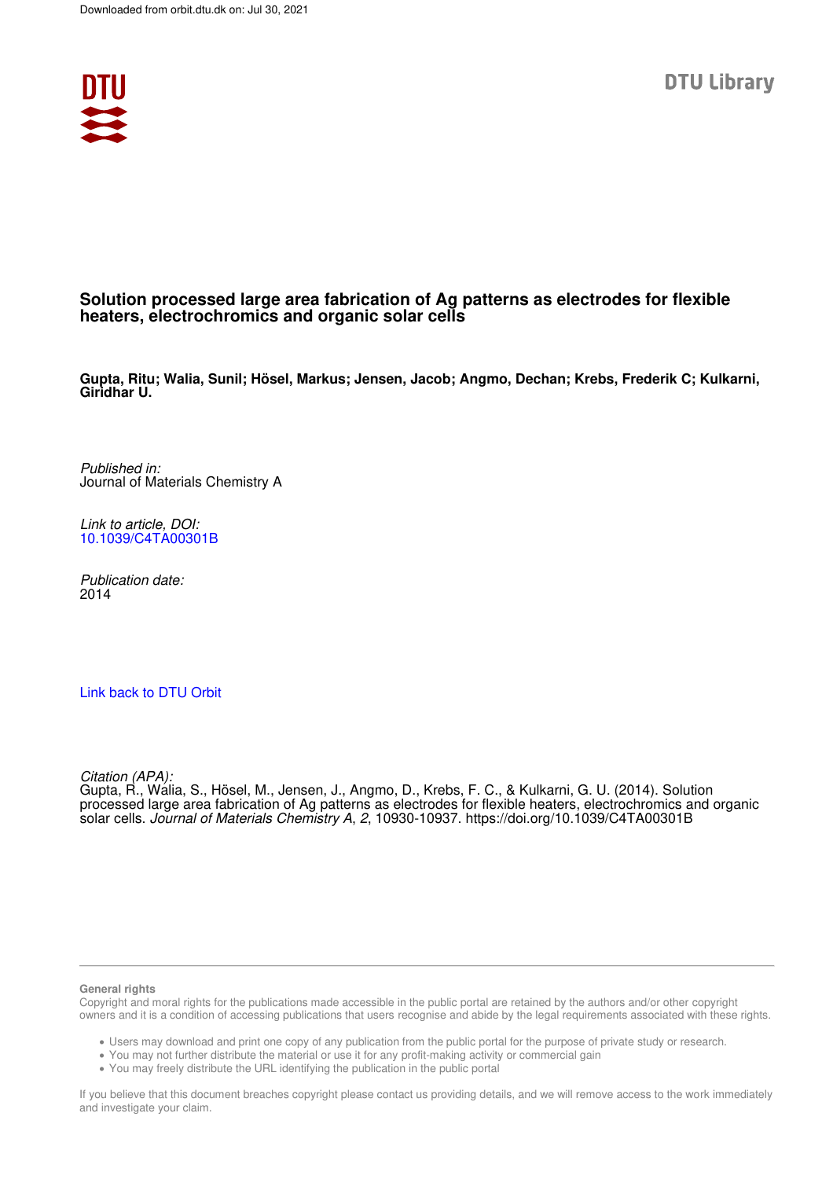

### **Solution processed large area fabrication of Ag patterns as electrodes for flexible heaters, electrochromics and organic solar cells**

**Gupta, Ritu; Walia, Sunil; Hösel, Markus; Jensen, Jacob; Angmo, Dechan; Krebs, Frederik C; Kulkarni, Giridhar U.**

Published in: Journal of Materials Chemistry A

Link to article, DOI: 10.1039/C4TA00301B

Publication date: 2014

### Link back to DTU Orbit

Citation (APA):

Gupta, R., Walia, S., Hösel, M., Jensen, J., Angmo, D., Krebs, F. C., & Kulkarni, G. U. (2014). Solution processed large area fabrication of Ag patterns as electrodes for flexible heaters, electrochromics and organic solar cells. Journal of Materials Chemistry A, 2, 10930-10937. https://doi.org/10.1039/C4TA00301B

#### **General rights**

Copyright and moral rights for the publications made accessible in the public portal are retained by the authors and/or other copyright owners and it is a condition of accessing publications that users recognise and abide by the legal requirements associated with these rights.

Users may download and print one copy of any publication from the public portal for the purpose of private study or research.

- You may not further distribute the material or use it for any profit-making activity or commercial gain
- You may freely distribute the URL identifying the publication in the public portal

If you believe that this document breaches copyright please contact us providing details, and we will remove access to the work immediately and investigate your claim.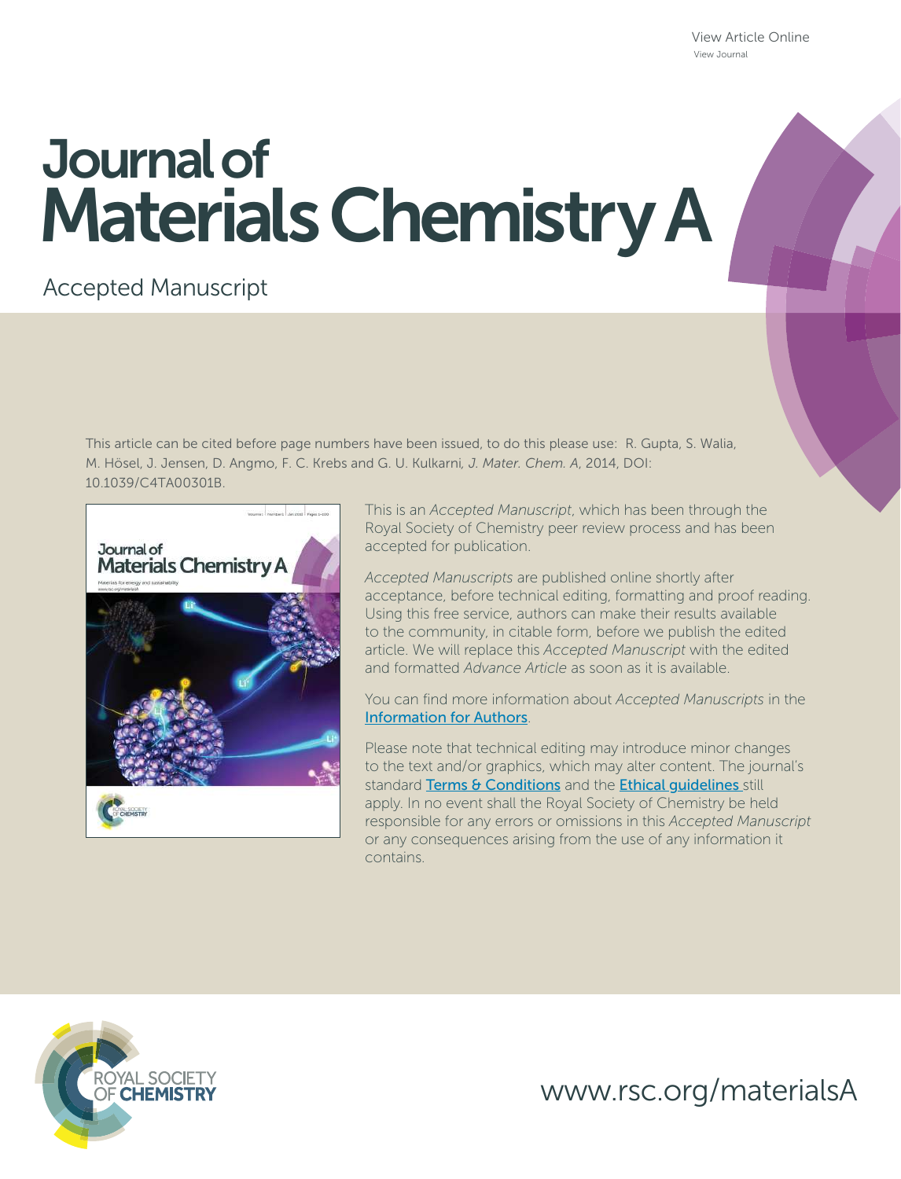View Article Online View Journal

# Journal of Materials Chemistry A

### Accepted Manuscript

This article can be cited before page numbers have been issued, to do this please use: R. Gupta, S. Walia, M. Hösel, J. Jensen, D. Angmo, F. C. Krebs and G. U. Kulkarni*, J. Mater. Chem. A*, 2014, DOI: 10.1039/C4TA00301B.



This is an *Accepted Manuscript*, which has been through the Royal Society of Chemistry peer review process and has been accepted for publication.

*Accepted Manuscripts* are published online shortly after acceptance, before technical editing, formatting and proof reading. Using this free service, authors can make their results available to the community, in citable form, before we publish the edited article. We will replace this *Accepted Manuscript* with the edited and formatted *Advance Article* as soon as it is available.

You can find more information about *Accepted Manuscripts* in the Information for Authors.

Please note that technical editing may introduce minor changes to the text and/or graphics, which may alter content. The journal's standard Terms & Conditions and the Ethical quidelines still apply. In no event shall the Royal Society of Chemistry be held responsible for any errors or omissions in this *Accepted Manuscript* or any consequences arising from the use of any information it contains.



www.rsc.org/materialsA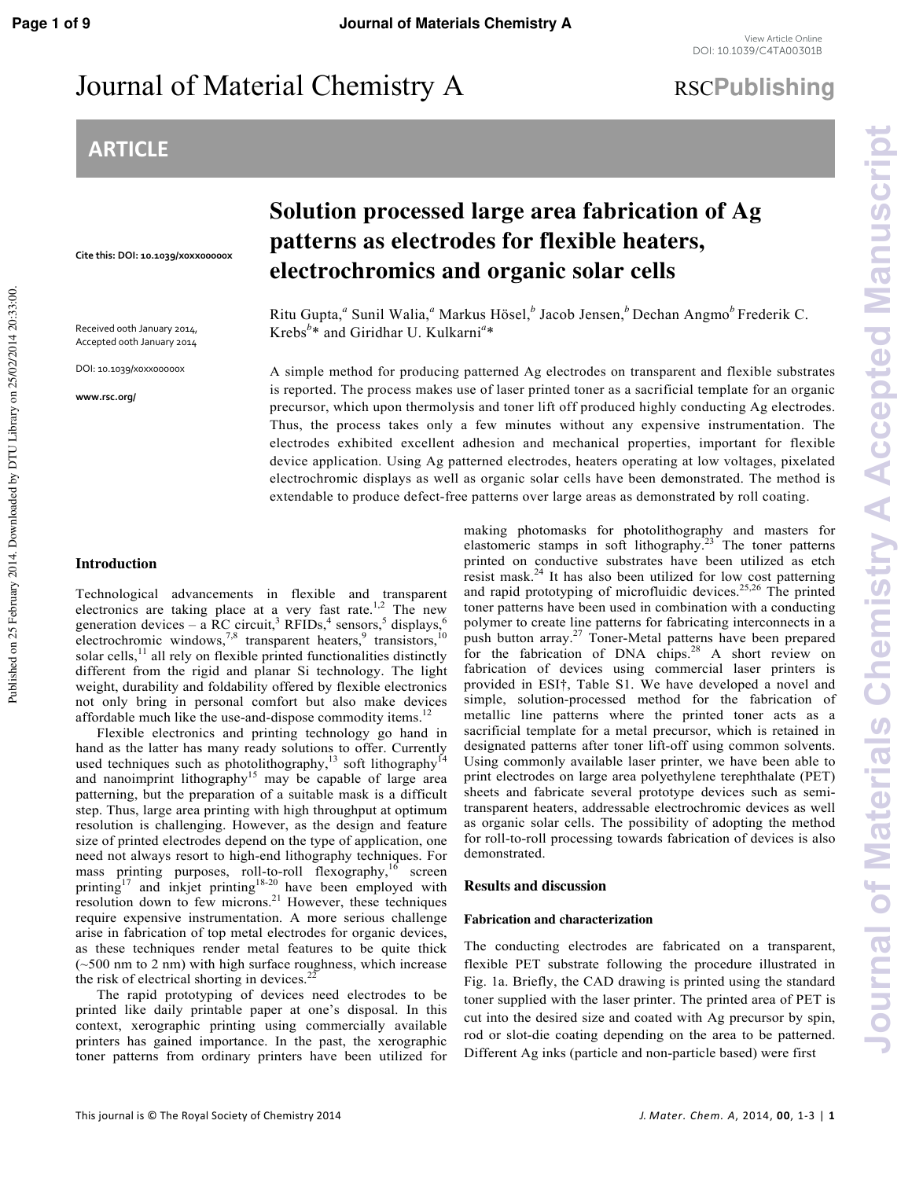## Journal of Material Chemistry A RSCPublishing

### **ARTICLE**

**Cite this: DOI: 10.1039/x0xx00000x**

Received 00th January 2014, Accepted 00th January 2014

DOI: 10.1039/x0xx00000x

**www.rsc.org/**

Published on 25 February 2014. Downloaded by DTU Library on 25/02/2014 20:33:00.

Published on 25 February 2014. Downloaded by DTU Library on 25/02/2014 20:33:00.

### **Solution processed large area fabrication of Ag patterns as electrodes for flexible heaters, electrochromics and organic solar cells**

Ritu Gupta,<sup>a</sup> Sunil Walia,<sup>a</sup> Markus Hösel,<sup>b</sup> Jacob Jensen,<sup>b</sup> Dechan Angmo<sup>b</sup> Frederik C. Krebs*<sup>b</sup>* \* and Giridhar U. Kulkarni*<sup>a</sup>* \*

A simple method for producing patterned Ag electrodes on transparent and flexible substrates is reported. The process makes use of laser printed toner as a sacrificial template for an organic precursor, which upon thermolysis and toner lift off produced highly conducting Ag electrodes. Thus, the process takes only a few minutes without any expensive instrumentation. The electrodes exhibited excellent adhesion and mechanical properties, important for flexible device application. Using Ag patterned electrodes, heaters operating at low voltages, pixelated electrochromic displays as well as organic solar cells have been demonstrated. The method is extendable to produce defect-free patterns over large areas as demonstrated by roll coating.

#### **Introduction**

Technological advancements in flexible and transparent electronics are taking place at a very fast rate.<sup>1,2</sup> The new generation devices – a RC circuit,<sup>3</sup> RFIDs,<sup>4</sup> sensors,<sup>5</sup> displays,<sup>6</sup> electrochromic windows,<sup>7,8</sup> transparent heaters,<sup>9</sup> transistors,<sup>10</sup> solar cells, $<sup>11</sup>$  all rely on flexible printed functionalities distinctly</sup> different from the rigid and planar Si technology. The light weight, durability and foldability offered by flexible electronics not only bring in personal comfort but also make devices affordable much like the use-and-dispose commodity items.<sup>12</sup>

 Flexible electronics and printing technology go hand in hand as the latter has many ready solutions to offer. Currently used techniques such as photolithography,<sup>13</sup> soft lithography<sup>14</sup> and nanoimprint lithography<sup>15</sup> may be capable of large area patterning, but the preparation of a suitable mask is a difficult step. Thus, large area printing with high throughput at optimum resolution is challenging. However, as the design and feature size of printed electrodes depend on the type of application, one need not always resort to high-end lithography techniques. For mass printing purposes, roll-to-roll flexography,<sup>16</sup> screen printing<sup>17</sup> and inkjet printing<sup>18-20</sup> have been employed with resolution down to few microns.<sup>21</sup> However, these techniques require expensive instrumentation. A more serious challenge arise in fabrication of top metal electrodes for organic devices, as these techniques render metal features to be quite thick (~500 nm to 2 nm) with high surface roughness, which increase the risk of electrical shorting in devices. $22$ 

 The rapid prototyping of devices need electrodes to be printed like daily printable paper at one's disposal. In this context, xerographic printing using commercially available printers has gained importance. In the past, the xerographic toner patterns from ordinary printers have been utilized for

making photomasks for photolithography and masters for elastomeric stamps in soft lithography.<sup>23</sup> The toner patterns printed on conductive substrates have been utilized as etch resist mask.<sup>24</sup> It has also been utilized for low cost patterning and rapid prototyping of microfluidic devices.<sup>25,26</sup> The printed toner patterns have been used in combination with a conducting polymer to create line patterns for fabricating interconnects in a push button array.<sup>27</sup> Toner-Metal patterns have been prepared for the fabrication of DNA chips.<sup>28</sup> A short review on fabrication of devices using commercial laser printers is provided in ESI†, Table S1. We have developed a novel and simple, solution-processed method for the fabrication of metallic line patterns where the printed toner acts as a sacrificial template for a metal precursor, which is retained in designated patterns after toner lift-off using common solvents. Using commonly available laser printer, we have been able to print electrodes on large area polyethylene terephthalate (PET) sheets and fabricate several prototype devices such as semitransparent heaters, addressable electrochromic devices as well as organic solar cells. The possibility of adopting the method for roll-to-roll processing towards fabrication of devices is also demonstrated.

#### **Results and discussion**

#### **Fabrication and characterization**

The conducting electrodes are fabricated on a transparent, flexible PET substrate following the procedure illustrated in Fig. 1a. Briefly, the CAD drawing is printed using the standard toner supplied with the laser printer. The printed area of PET is cut into the desired size and coated with Ag precursor by spin, rod or slot-die coating depending on the area to be patterned. Different Ag inks (particle and non-particle based) were first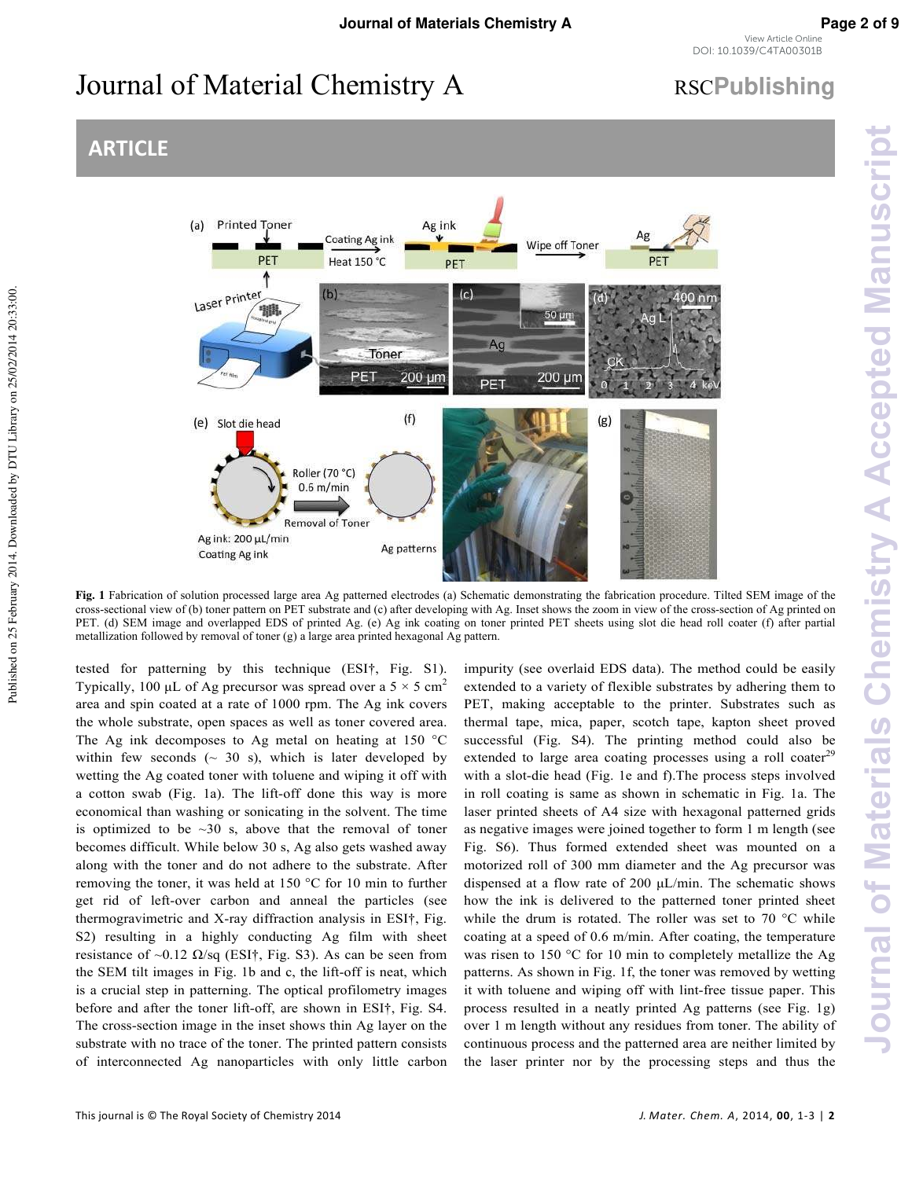# Journal of Material Chemistry A RSCPublishing

### **ARTICLE**



**Fig. 1** Fabrication of solution processed large area Ag patterned electrodes (a) Schematic demonstrating the fabrication procedure. Tilted SEM image of the cross-sectional view of (b) toner pattern on PET substrate and (c) after developing with Ag. Inset shows the zoom in view of the cross-section of Ag printed on PET. (d) SEM image and overlapped EDS of printed Ag. (e) Ag ink coating on toner printed PET sheets using slot die head roll coater (f) after partial metallization followed by removal of toner (g) a large area printed hexagonal Ag pattern.

tested for patterning by this technique (ESI†, Fig. S1). Typically, 100 μL of Ag precursor was spread over a  $5 \times 5$  cm<sup>2</sup> area and spin coated at a rate of 1000 rpm. The Ag ink covers the whole substrate, open spaces as well as toner covered area. The Ag ink decomposes to Ag metal on heating at 150 **°**C within few seconds  $(\sim 30 \text{ s})$ , which is later developed by wetting the Ag coated toner with toluene and wiping it off with a cotton swab (Fig. 1a). The lift-off done this way is more economical than washing or sonicating in the solvent. The time is optimized to be  $\sim$ 30 s, above that the removal of toner becomes difficult. While below 30 s, Ag also gets washed away along with the toner and do not adhere to the substrate. After removing the toner, it was held at 150 **°**C for 10 min to further get rid of left-over carbon and anneal the particles (see thermogravimetric and X-ray diffraction analysis in ESI†, Fig. S2) resulting in a highly conducting Ag film with sheet resistance of ~0.12  $\Omega$ /sq (ESI†, Fig. S3). As can be seen from the SEM tilt images in Fig. 1b and c, the lift-off is neat, which is a crucial step in patterning. The optical profilometry images before and after the toner lift-off, are shown in ESI†, Fig. S4. The cross-section image in the inset shows thin Ag layer on the substrate with no trace of the toner. The printed pattern consists of interconnected Ag nanoparticles with only little carbon

impurity (see overlaid EDS data). The method could be easily extended to a variety of flexible substrates by adhering them to PET, making acceptable to the printer. Substrates such as thermal tape, mica, paper, scotch tape, kapton sheet proved successful (Fig. S4). The printing method could also be extended to large area coating processes using a roll coater<sup>29</sup> with a slot-die head (Fig. 1e and f).The process steps involved in roll coating is same as shown in schematic in Fig. 1a. The laser printed sheets of A4 size with hexagonal patterned grids as negative images were joined together to form 1 m length (see Fig. S6). Thus formed extended sheet was mounted on a motorized roll of 300 mm diameter and the Ag precursor was dispensed at a flow rate of 200 μL/min. The schematic shows how the ink is delivered to the patterned toner printed sheet while the drum is rotated. The roller was set to 70 °C while coating at a speed of 0.6 m/min. After coating, the temperature was risen to 150 °C for 10 min to completely metallize the Ag patterns. As shown in Fig. 1f, the toner was removed by wetting it with toluene and wiping off with lint-free tissue paper. This process resulted in a neatly printed Ag patterns (see Fig. 1g) over 1 m length without any residues from toner. The ability of continuous process and the patterned area are neither limited by the laser printer nor by the processing steps and thus the **Journal of Materials Chemistry A Accepted Manuscript**

**Journal of Materials Chemistry A Accepted Manuscript**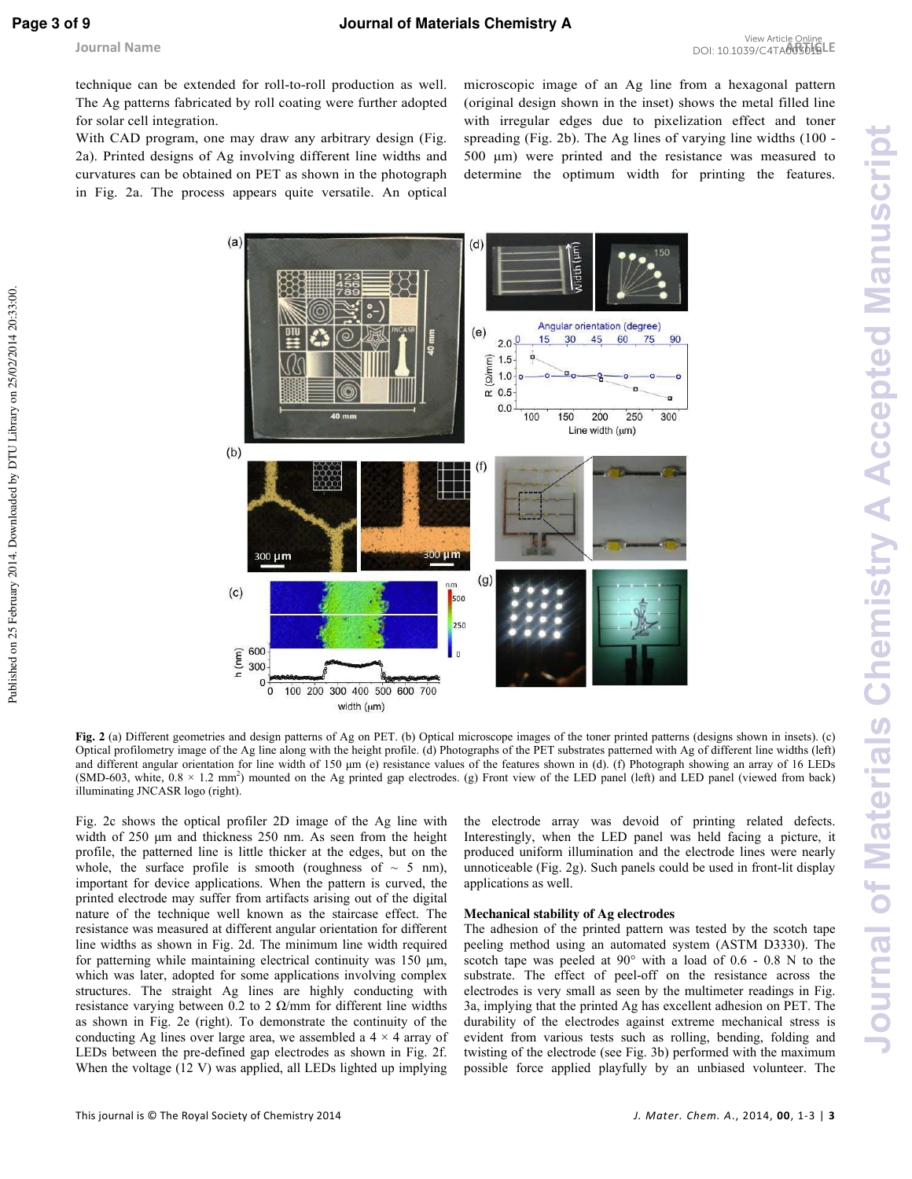Published on 25 February 2014. Downloaded by DTU Library on 25/02/2014 20:33:00.

technique can be extended for roll-to-roll production as well. The Ag patterns fabricated by roll coating were further adopted for solar cell integration.

With CAD program, one may draw any arbitrary design (Fig. 2a). Printed designs of Ag involving different line widths and curvatures can be obtained on PET as shown in the photograph in Fig. 2a. The process appears quite versatile. An optical microscopic image of an Ag line from a hexagonal pattern (original design shown in the inset) shows the metal filled line with irregular edges due to pixelization effect and toner spreading (Fig. 2b). The Ag lines of varying line widths (100 - 500 μm) were printed and the resistance was measured to determine the optimum width for printing the features.



**Fig. 2** (a) Different geometries and design patterns of Ag on PET. (b) Optical microscope images of the toner printed patterns (designs shown in insets). (c) Optical profilometry image of the Ag line along with the height profile. (d) Photographs of the PET substrates patterned with Ag of different line widths (left) and different angular orientation for line width of 150 μm (e) resistance values of the features shown in (d). (f) Photograph showing an array of 16 LEDs  $(SMD-603, white, 0.8 \times 1.2 mm<sup>2</sup>)$  mounted on the Ag printed gap electrodes. (g) Front view of the LED panel (left) and LED panel (viewed from back) illuminating JNCASR logo (right).

Fig. 2c shows the optical profiler 2D image of the Ag line with width of 250 μm and thickness 250 nm. As seen from the height profile, the patterned line is little thicker at the edges, but on the whole, the surface profile is smooth (roughness of  $\sim$  5 nm), important for device applications. When the pattern is curved, the printed electrode may suffer from artifacts arising out of the digital nature of the technique well known as the staircase effect. The resistance was measured at different angular orientation for different line widths as shown in Fig. 2d. The minimum line width required for patterning while maintaining electrical continuity was 150 μm, which was later, adopted for some applications involving complex structures. The straight Ag lines are highly conducting with resistance varying between 0.2 to 2  $\Omega$ /mm for different line widths as shown in Fig. 2e (right). To demonstrate the continuity of the conducting Ag lines over large area, we assembled a  $4 \times 4$  array of LEDs between the pre-defined gap electrodes as shown in Fig. 2f. When the voltage (12 V) was applied, all LEDs lighted up implying

the electrode array was devoid of printing related defects. Interestingly, when the LED panel was held facing a picture, it produced uniform illumination and the electrode lines were nearly unnoticeable (Fig. 2g). Such panels could be used in front-lit display applications as well.

#### **Mechanical stability of Ag electrodes**

The adhesion of the printed pattern was tested by the scotch tape peeling method using an automated system (ASTM D3330). The scotch tape was peeled at 90° with a load of 0.6 - 0.8 N to the substrate. The effect of peel-off on the resistance across the electrodes is very small as seen by the multimeter readings in Fig. 3a, implying that the printed Ag has excellent adhesion on PET. The durability of the electrodes against extreme mechanical stress is evident from various tests such as rolling, bending, folding and twisting of the electrode (see Fig. 3b) performed with the maximum possible force applied playfully by an unbiased volunteer. The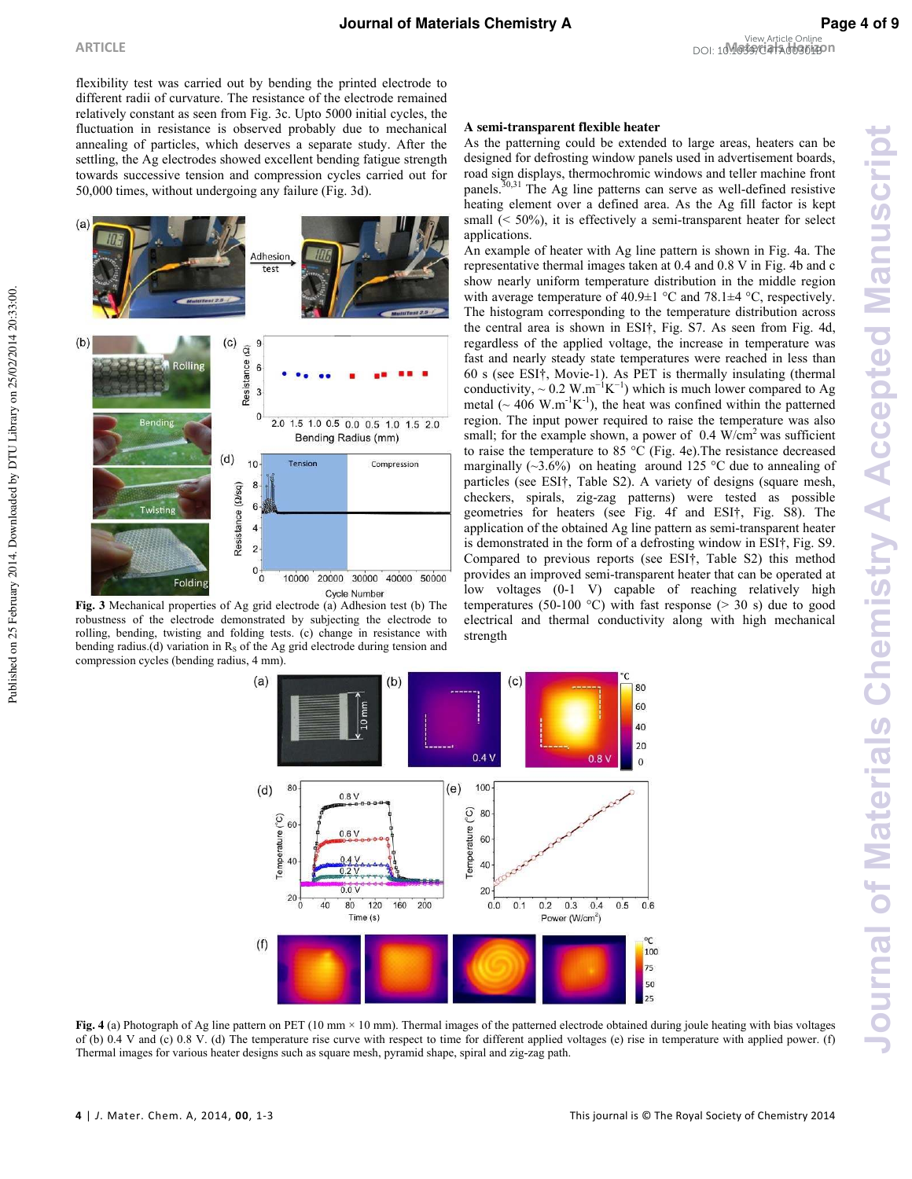flexibility test was carried out by bending the printed electrode to different radii of curvature. The resistance of the electrode remained relatively constant as seen from Fig. 3c. Upto 5000 initial cycles, the fluctuation in resistance is observed probably due to mechanical annealing of particles, which deserves a separate study. After the settling, the Ag electrodes showed excellent bending fatigue strength towards successive tension and compression cycles carried out for 50,000 times, without undergoing any failure (Fig. 3d).



**Fig. 3** Mechanical properties of Ag grid electrode (a) Adhesion test (b) The robustness of the electrode demonstrated by subjecting the electrode to rolling, bending, twisting and folding tests. (c) change in resistance with bending radius.(d) variation in  $R<sub>s</sub>$  of the Ag grid electrode during tension and compression cycles (bending radius, 4 mm).

### **A semi-transparent flexible heater**

As the patterning could be extended to large areas, heaters can be designed for defrosting window panels used in advertisement boards, road sign displays, thermochromic windows and teller machine front panels.<sup>30,31</sup> The Ag line patterns can serve as well-defined resistive heating element over a defined area. As the Ag fill factor is kept small (< 50%), it is effectively a semi-transparent heater for select applications.

An example of heater with Ag line pattern is shown in Fig. 4a. The representative thermal images taken at 0.4 and 0.8 V in Fig. 4b and c show nearly uniform temperature distribution in the middle region with average temperature of  $40.9\pm1$  °C and  $78.1\pm4$  °C, respectively. The histogram corresponding to the temperature distribution across the central area is shown in ESI†, Fig. S7. As seen from Fig. 4d, regardless of the applied voltage, the increase in temperature was fast and nearly steady state temperatures were reached in less than 60 s (see ESI†, Movie-1). As PET is thermally insulating (thermal conductivity, ~ 0.2 W.m<sup>-1</sup>K<sup>-1</sup>) which is much lower compared to Ag metal ( $\sim$  406 W.m<sup>-1</sup>K<sup>-1</sup>), the heat was confined within the patterned region. The input power required to raise the temperature was also small; for the example shown, a power of  $0.4$  W/cm<sup>2</sup> was sufficient to raise the temperature to 85 °C (Fig. 4e).The resistance decreased marginally  $(\sim 3.6\%)$  on heating around 125 °C due to annealing of particles (see ESI†, Table S2). A variety of designs (square mesh, checkers, spirals, zig-zag patterns) were tested as possible geometries for heaters (see Fig. 4f and ESI†, Fig. S8). The application of the obtained Ag line pattern as semi-transparent heater is demonstrated in the form of a defrosting window in ESI†, Fig. S9. Compared to previous reports (see ESI†, Table S2) this method provides an improved semi-transparent heater that can be operated at low voltages (0-1 V) capable of reaching relatively high temperatures (50-100 °C) with fast response ( $>$  30 s) due to good electrical and thermal conductivity along with high mechanical strength



**Fig. 4** (a) Photograph of Ag line pattern on PET (10 mm × 10 mm). Thermal images of the patterned electrode obtained during joule heating with bias voltages of (b) 0.4 V and (c) 0.8 V. (d) The temperature rise curve with respect to time for different applied voltages (e) rise in temperature with applied power. (f) Thermal images for various heater designs such as square mesh, pyramid shape, spiral and zig-zag path.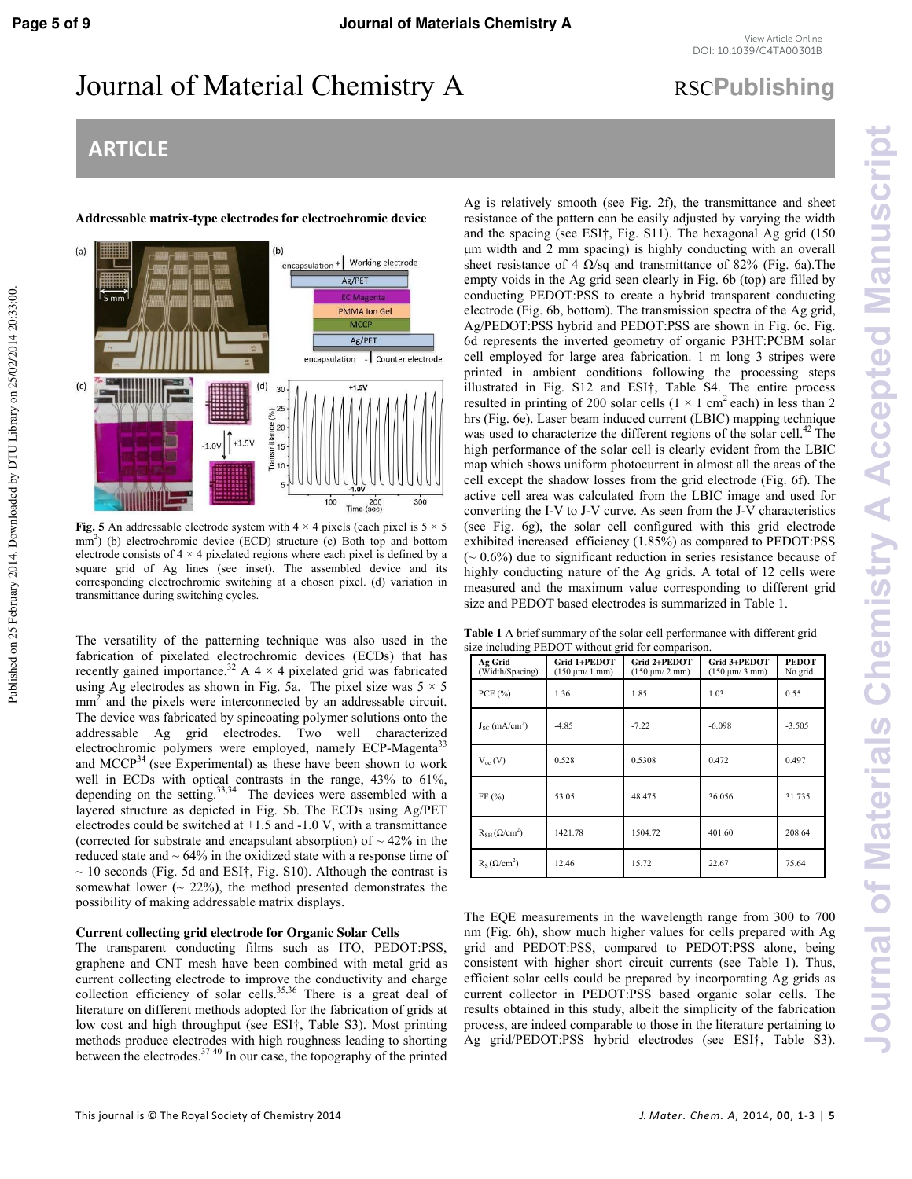Published on 25 February 2014. Downloaded by DTU Library on 25/02/2014 20:33:00.

### Journal of Material Chemistry A RSCPublishing

### **ARTICLE**

**Addressable matrix-type electrodes for electrochromic device** 



**Fig. 5** An addressable electrode system with  $4 \times 4$  pixels (each pixel is  $5 \times 5$ mm<sup>2</sup>) (b) electrochromic device (ECD) structure (c) Both top and bottom electrode consists of  $4 \times 4$  pixelated regions where each pixel is defined by a square grid of Ag lines (see inset). The assembled device and its corresponding electrochromic switching at a chosen pixel. (d) variation in transmittance during switching cycles.

The versatility of the patterning technique was also used in the fabrication of pixelated electrochromic devices (ECDs) that has recently gained importance.<sup>32</sup> A 4  $\times$  4 pixelated grid was fabricated using Ag electrodes as shown in Fig. 5a. The pixel size was  $5 \times 5$  $mm<sup>2</sup>$  and the pixels were interconnected by an addressable circuit. The device was fabricated by spincoating polymer solutions onto the addressable Ag grid electrodes. Two well characterized electrochromic polymers were employed, namely ECP-Magenta<sup>33</sup> and MCCP $^{34}$  (see Experimental) as these have been shown to work well in ECDs with optical contrasts in the range, 43% to 61%, depending on the setting. $33,34$  The devices were assembled with a layered structure as depicted in Fig. 5b. The ECDs using Ag/PET electrodes could be switched at  $+1.5$  and  $-1.0$  V, with a transmittance (corrected for substrate and encapsulant absorption) of  $\sim$  42% in the reduced state and  $\sim 64\%$  in the oxidized state with a response time of  $\sim$  10 seconds (Fig. 5d and ESI†, Fig. S10). Although the contrast is somewhat lower  $($   $\sim$  22%), the method presented demonstrates the possibility of making addressable matrix displays.

#### **Current collecting grid electrode for Organic Solar Cells**

The transparent conducting films such as ITO, PEDOT:PSS, graphene and CNT mesh have been combined with metal grid as current collecting electrode to improve the conductivity and charge collection efficiency of solar cells.<sup>35,36</sup> There is a great deal of literature on different methods adopted for the fabrication of grids at low cost and high throughput (see ESI†, Table S3). Most printing methods produce electrodes with high roughness leading to shorting between the electrodes.  $37-40$  In our case, the topography of the printed

Ag is relatively smooth (see Fig. 2f), the transmittance and sheet resistance of the pattern can be easily adjusted by varying the width and the spacing (see ESI†, Fig. S11). The hexagonal Ag grid (150 μm width and 2 mm spacing) is highly conducting with an overall sheet resistance of 4  $\Omega$ /sq and transmittance of 82% (Fig. 6a). The empty voids in the Ag grid seen clearly in Fig. 6b (top) are filled by conducting PEDOT:PSS to create a hybrid transparent conducting electrode (Fig. 6b, bottom). The transmission spectra of the Ag grid, Ag/PEDOT:PSS hybrid and PEDOT:PSS are shown in Fig. 6c. Fig. 6d represents the inverted geometry of organic P3HT:PCBM solar cell employed for large area fabrication. 1 m long 3 stripes were printed in ambient conditions following the processing steps illustrated in Fig. S12 and ESI†, Table S4. The entire process resulted in printing of 200 solar cells ( $1 \times 1$  cm<sup>2</sup> each) in less than 2 hrs (Fig. 6e). Laser beam induced current (LBIC) mapping technique was used to characterize the different regions of the solar cell.<sup>42</sup> The high performance of the solar cell is clearly evident from the LBIC map which shows uniform photocurrent in almost all the areas of the cell except the shadow losses from the grid electrode (Fig. 6f). The active cell area was calculated from the LBIC image and used for converting the I-V to J-V curve. As seen from the J-V characteristics (see Fig. 6g), the solar cell configured with this grid electrode exhibited increased efficiency (1.85%) as compared to PEDOT:PSS  $({\sim 0.6\%)}$  due to significant reduction in series resistance because of highly conducting nature of the Ag grids. A total of 12 cells were measured and the maximum value corresponding to different grid size and PEDOT based electrodes is summarized in Table 1.

**Table 1** A brief summary of the solar cell performance with different grid size including PEDOT without grid for comparison.

| ິ                              |                                     |                                     |                                    |                         |
|--------------------------------|-------------------------------------|-------------------------------------|------------------------------------|-------------------------|
| Ag Grid<br>(Width/Spacing)     | Grid 1+PEDOT<br>$(150 \mu m/ 1 mm)$ | Grid 2+PEDOT<br>$(150 \mu m/ 2 mm)$ | Grid 3+PEDOT<br>$(150 \mu m/3 mm)$ | <b>PEDOT</b><br>No grid |
| PCE $(\% )$                    | 1.36                                | 1.85                                | 1.03                               | 0.55                    |
| $J_{SC}$ (mA/cm <sup>2</sup> ) | $-4.85$                             | $-7.22$                             | $-6.098$                           | $-3.505$                |
| $V_{oc}$ (V)                   | 0.528                               | 0.5308                              | 0.472                              | 0.497                   |
| FF(%)                          | 53.05                               | 48.475                              | 36.056                             | 31.735                  |
| $R_{SH}(\Omega/cm^2)$          | 1421.78                             | 1504.72                             | 401.60                             | 208.64                  |
| $R_s(\Omega/cm^2)$             | 12.46                               | 15.72                               | 22.67                              | 75.64                   |

The EQE measurements in the wavelength range from 300 to 700 nm (Fig. 6h), show much higher values for cells prepared with Ag grid and PEDOT:PSS, compared to PEDOT:PSS alone, being consistent with higher short circuit currents (see Table 1). Thus, efficient solar cells could be prepared by incorporating Ag grids as current collector in PEDOT:PSS based organic solar cells. The results obtained in this study, albeit the simplicity of the fabrication process, are indeed comparable to those in the literature pertaining to Ag grid/PEDOT:PSS hybrid electrodes (see ESI†, Table S3).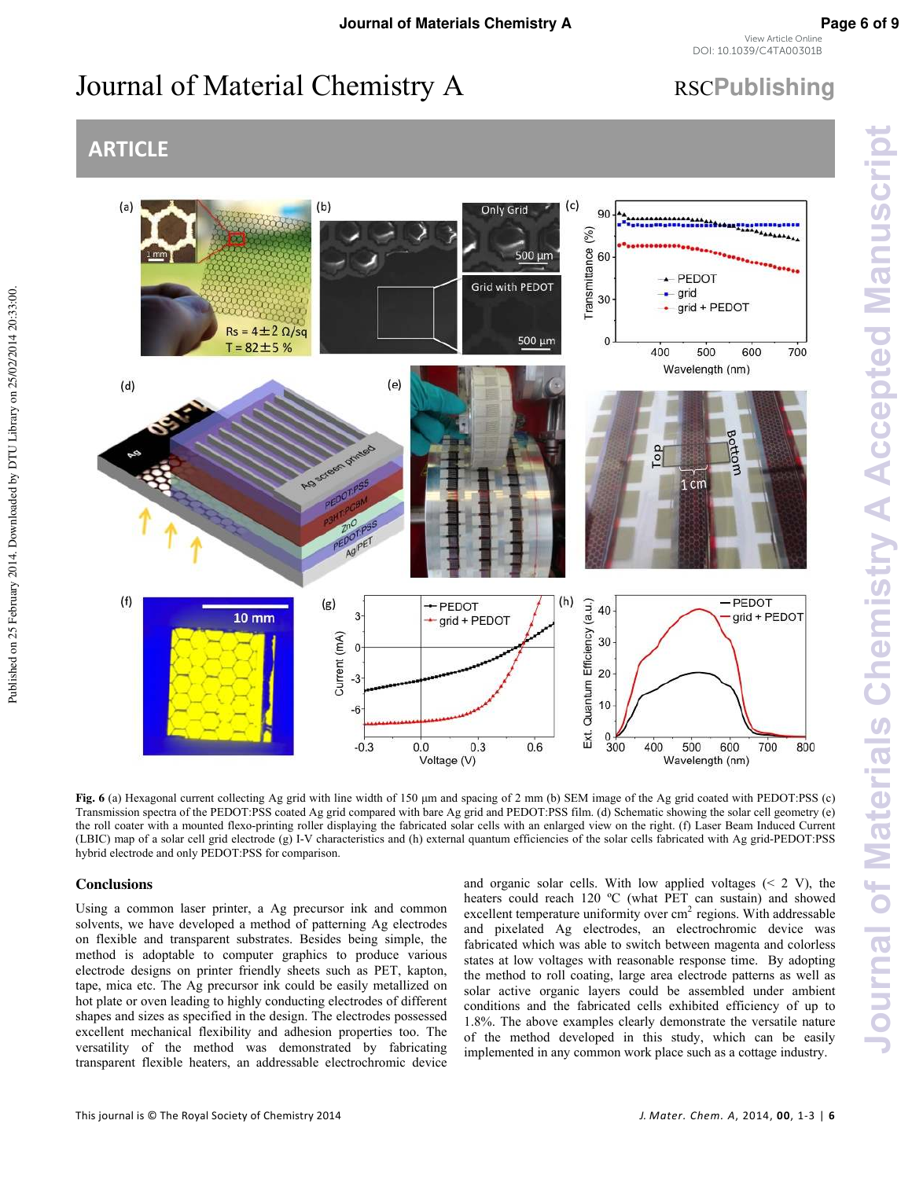# Journal of Material Chemistry A RSCPublishing

### **ARTICLE**



**Fig. 6** (a) Hexagonal current collecting Ag grid with line width of 150 μm and spacing of 2 mm (b) SEM image of the Ag grid coated with PEDOT:PSS (c) Transmission spectra of the PEDOT:PSS coated Ag grid compared with bare Ag grid and PEDOT:PSS film. (d) Schematic showing the solar cell geometry (e) the roll coater with a mounted flexo-printing roller displaying the fabricated solar cells with an enlarged view on the right. (f) Laser Beam Induced Current (LBIC) map of a solar cell grid electrode (g) I-V characteristics and (h) external quantum efficiencies of the solar cells fabricated with Ag grid-PEDOT:PSS hybrid electrode and only PEDOT:PSS for comparison.

### **Conclusions**

Published on 25 February 2014. Downloaded by DTU Library on 25/02/2014 20:33:00.

Published on 25 February 2014. Downloaded by DTU Library on 25/02/2014 20:33:00.

Using a common laser printer, a Ag precursor ink and common solvents, we have developed a method of patterning Ag electrodes on flexible and transparent substrates. Besides being simple, the method is adoptable to computer graphics to produce various electrode designs on printer friendly sheets such as PET, kapton, tape, mica etc. The Ag precursor ink could be easily metallized on hot plate or oven leading to highly conducting electrodes of different shapes and sizes as specified in the design. The electrodes possessed excellent mechanical flexibility and adhesion properties too. The versatility of the method was demonstrated by fabricating transparent flexible heaters, an addressable electrochromic device

and organic solar cells. With low applied voltages  $(< 2 V)$ , the heaters could reach 120 °C (what PET can sustain) and showed excellent temperature uniformity over  $cm<sup>2</sup>$  regions. With addressable and pixelated Ag electrodes, an electrochromic device was fabricated which was able to switch between magenta and colorless states at low voltages with reasonable response time. By adopting the method to roll coating, large area electrode patterns as well as solar active organic layers could be assembled under ambient conditions and the fabricated cells exhibited efficiency of up to 1.8%. The above examples clearly demonstrate the versatile nature of the method developed in this study, which can be easily implemented in any common work place such as a cottage industry.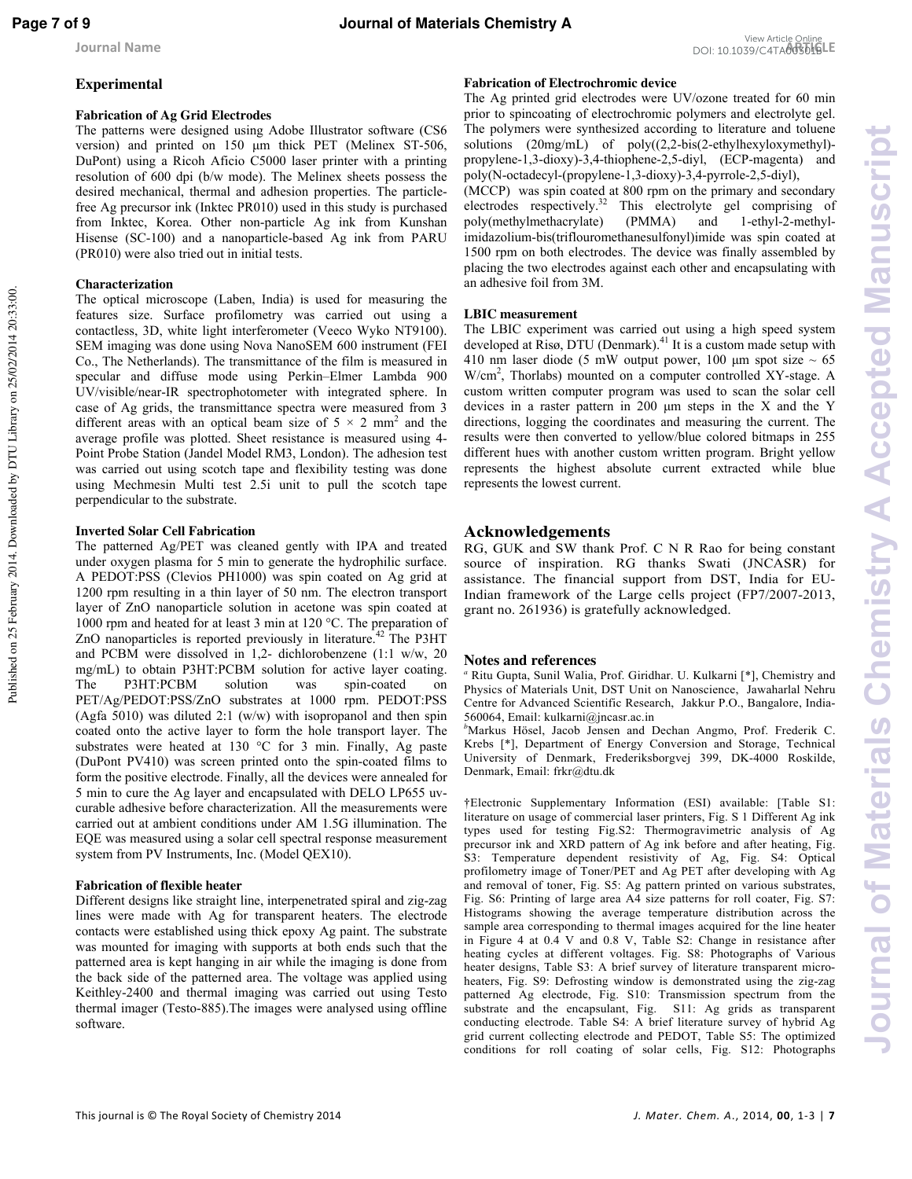Published on 25 February 2014. Downloaded by DTU Library on 25/02/2014 20:33:00.

### View Article Online<br>DOI: 10.1039/C4TA00301BLE

### **Experimental**

### **Fabrication of Ag Grid Electrodes**

The patterns were designed using Adobe Illustrator software (CS6 version) and printed on 150 μm thick PET (Melinex ST-506, DuPont) using a Ricoh Aficio C5000 laser printer with a printing resolution of 600 dpi (b/w mode). The Melinex sheets possess the desired mechanical, thermal and adhesion properties. The particlefree Ag precursor ink (Inktec PR010) used in this study is purchased from Inktec, Korea. Other non-particle Ag ink from Kunshan Hisense (SC-100) and a nanoparticle-based Ag ink from PARU (PR010) were also tried out in initial tests.

### **Characterization**

The optical microscope (Laben, India) is used for measuring the features size. Surface profilometry was carried out using a contactless, 3D, white light interferometer (Veeco Wyko NT9100). SEM imaging was done using Nova NanoSEM 600 instrument (FEI Co., The Netherlands). The transmittance of the film is measured in specular and diffuse mode using Perkin–Elmer Lambda 900 UV/visible/near-IR spectrophotometer with integrated sphere. In case of Ag grids, the transmittance spectra were measured from 3 different areas with an optical beam size of  $5 \times 2$  mm<sup>2</sup> and the average profile was plotted. Sheet resistance is measured using 4- Point Probe Station (Jandel Model RM3, London). The adhesion test was carried out using scotch tape and flexibility testing was done using Mechmesin Multi test 2.5i unit to pull the scotch tape perpendicular to the substrate.

### **Inverted Solar Cell Fabrication**

The patterned Ag/PET was cleaned gently with IPA and treated under oxygen plasma for 5 min to generate the hydrophilic surface. A PEDOT:PSS (Clevios PH1000) was spin coated on Ag grid at 1200 rpm resulting in a thin layer of 50 nm. The electron transport layer of ZnO nanoparticle solution in acetone was spin coated at 1000 rpm and heated for at least 3 min at 120 °C. The preparation of ZnO nanoparticles is reported previously in literature.<sup>42</sup> The P3HT and PCBM were dissolved in 1,2- dichlorobenzene (1:1 w/w, 20 mg/mL) to obtain P3HT:PCBM solution for active layer coating. The P3HT:PCBM solution was spin-coated on PET/Ag/PEDOT:PSS/ZnO substrates at 1000 rpm. PEDOT:PSS (Agfa 5010) was diluted 2:1 (w/w) with isopropanol and then spin coated onto the active layer to form the hole transport layer. The substrates were heated at 130 °C for 3 min. Finally, Ag paste (DuPont PV410) was screen printed onto the spin-coated films to form the positive electrode. Finally, all the devices were annealed for 5 min to cure the Ag layer and encapsulated with DELO LP655 uvcurable adhesive before characterization. All the measurements were carried out at ambient conditions under AM 1.5G illumination. The EQE was measured using a solar cell spectral response measurement system from PV Instruments, Inc. (Model QEX10).

### **Fabrication of flexible heater**

Different designs like straight line, interpenetrated spiral and zig-zag lines were made with Ag for transparent heaters. The electrode contacts were established using thick epoxy Ag paint. The substrate was mounted for imaging with supports at both ends such that the patterned area is kept hanging in air while the imaging is done from the back side of the patterned area. The voltage was applied using Keithley-2400 and thermal imaging was carried out using Testo thermal imager (Testo-885).The images were analysed using offline software.

### **Fabrication of Electrochromic device**

The Ag printed grid electrodes were UV/ozone treated for 60 min prior to spincoating of electrochromic polymers and electrolyte gel. The polymers were synthesized according to literature and toluene solutions (20mg/mL) of poly((2,2-bis(2-ethylhexyloxymethyl) propylene-1,3-dioxy)-3,4-thiophene-2,5-diyl, (ECP-magenta) and poly(N-octadecyl-(propylene-1,3-dioxy)-3,4-pyrrole-2,5-diyl), (MCCP) was spin coated at 800 rpm on the primary and secondary electrodes respectively.<sup>32</sup> This electrolyte gel comprising of poly(methylmethacrylate) (PMMA) and 1-ethyl-2-methylimidazolium-bis(triflouromethanesulfonyl)imide was spin coated at 1500 rpm on both electrodes. The device was finally assembled by placing the two electrodes against each other and encapsulating with an adhesive foil from 3M.

### **LBIC measurement**

The LBIC experiment was carried out using a high speed system developed at Risø, DTU (Denmark).<sup>41</sup> It is a custom made setup with 410 nm laser diode (5 mW output power, 100  $\mu$ m spot size  $\sim$  65 W/cm<sup>2</sup>, Thorlabs) mounted on a computer controlled XY-stage. A custom written computer program was used to scan the solar cell devices in a raster pattern in 200 μm steps in the X and the Y directions, logging the coordinates and measuring the current. The results were then converted to yellow/blue colored bitmaps in 255 different hues with another custom written program. Bright yellow represents the highest absolute current extracted while blue represents the lowest current.

### **Acknowledgements**

RG, GUK and SW thank Prof. C N R Rao for being constant source of inspiration. RG thanks Swati (JNCASR) for assistance. The financial support from DST, India for EU-Indian framework of the Large cells project (FP7/2007-2013, grant no. 261936) is gratefully acknowledged.

### **Notes and references**

*a* Ritu Gupta, Sunil Walia, Prof. Giridhar. U. Kulkarni [\*], Chemistry and Physics of Materials Unit, DST Unit on Nanoscience, Jawaharlal Nehru Centre for Advanced Scientific Research, Jakkur P.O., Bangalore, India-560064, Email: kulkarni@jncasr.ac.in

*<sup>b</sup>*Markus Hösel, Jacob Jensen and Dechan Angmo, Prof. Frederik C. Krebs [\*], Department of Energy Conversion and Storage, Technical University of Denmark, Frederiksborgvej 399, DK-4000 Roskilde, Denmark, Email: frkr@dtu.dk

†Electronic Supplementary Information (ESI) available: [Table S1: literature on usage of commercial laser printers, Fig. S 1 Different Ag ink types used for testing Fig.S2: Thermogravimetric analysis of Ag precursor ink and XRD pattern of Ag ink before and after heating, Fig. S3: Temperature dependent resistivity of Ag, Fig. S4: Optical profilometry image of Toner/PET and Ag PET after developing with Ag and removal of toner, Fig. S5: Ag pattern printed on various substrates, Fig. S6: Printing of large area A4 size patterns for roll coater, Fig. S7: Histograms showing the average temperature distribution across the sample area corresponding to thermal images acquired for the line heater in Figure 4 at 0.4 V and 0.8 V, Table S2: Change in resistance after heating cycles at different voltages. Fig. S8: Photographs of Various heater designs, Table S3: A brief survey of literature transparent microheaters, Fig. S9: Defrosting window is demonstrated using the zig-zag patterned Ag electrode, Fig. S10: Transmission spectrum from the substrate and the encapsulant, Fig. S11: Ag grids as transparent conducting electrode. Table S4: A brief literature survey of hybrid Ag grid current collecting electrode and PEDOT, Table S5: The optimized conditions for roll coating of solar cells, Fig. S12: Photographs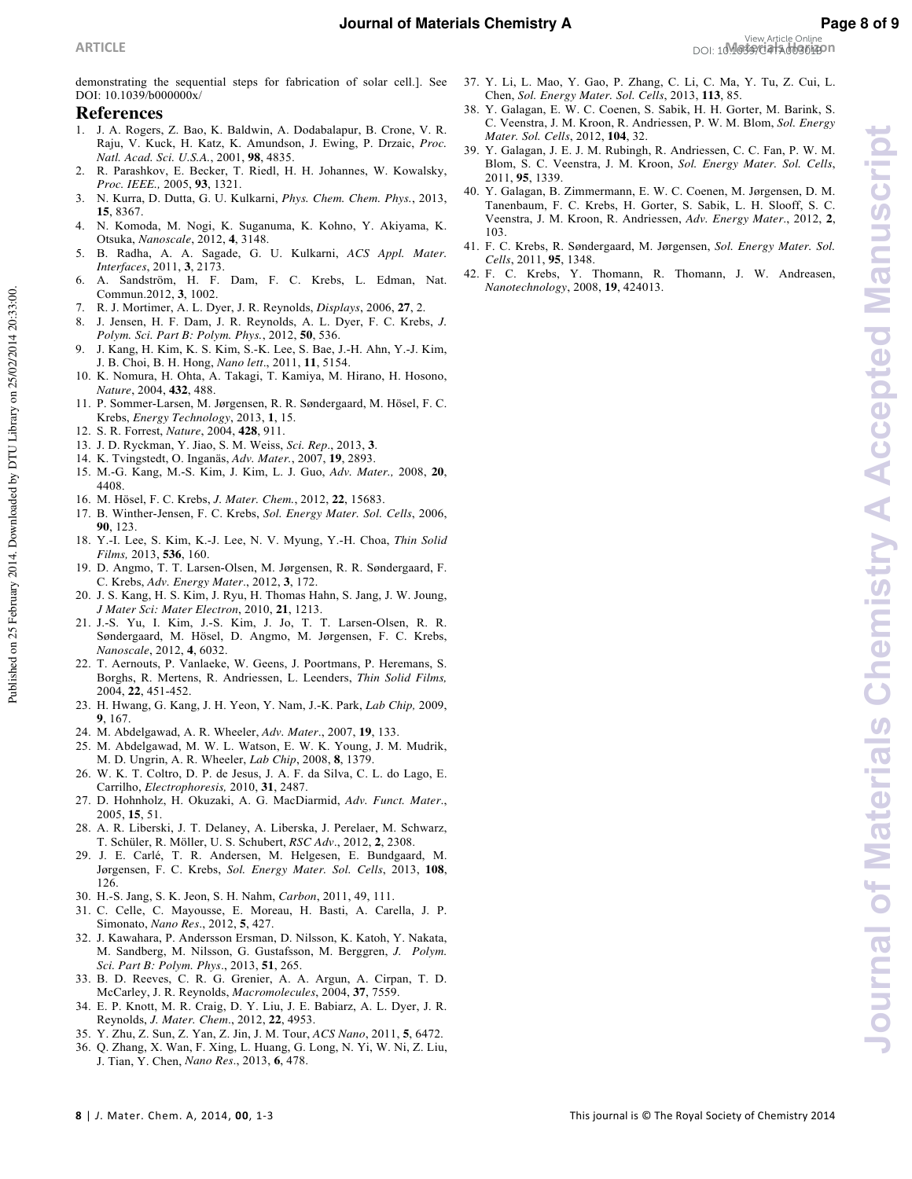Published on 25 February 2014. Downloaded by DTU Library on 25/02/2014 20:33:00.

#### **References**

- 1. J. A. Rogers, Z. Bao, K. Baldwin, A. Dodabalapur, B. Crone, V. R. Raju, V. Kuck, H. Katz, K. Amundson, J. Ewing, P. Drzaic, *Proc. Natl. Acad. Sci. U.S.A.*, 2001, **98**, 4835.
- 2. R. Parashkov, E. Becker, T. Riedl, H. H. Johannes, W. Kowalsky, *Proc. IEEE.,* 2005, **93**, 1321.
- 3. N. Kurra, D. Dutta, G. U. Kulkarni, *Phys. Chem. Chem. Phys.*, 2013, **15**, 8367.
- 4. N. Komoda, M. Nogi, K. Suganuma, K. Kohno, Y. Akiyama, K. Otsuka, *Nanoscale*, 2012, **4**, 3148.
- 5. B. Radha, A. A. Sagade, G. U. Kulkarni, *ACS Appl. Mater. Interfaces*, 2011, **3**, 2173.
- 6. A. Sandström, H. F. Dam, F. C. Krebs, L. Edman, Nat. Commun.2012, **3**, 1002.
- 7. R. J. Mortimer, A. L. Dyer, J. R. Reynolds, *Displays*, 2006, **27**, 2.
- 8. J. Jensen, H. F. Dam, J. R. Reynolds, A. L. Dyer, F. C. Krebs, *J. Polym. Sci. Part B: Polym. Phys.*, 2012, **50**, 536.
- 9. J. Kang, H. Kim, K. S. Kim, S.-K. Lee, S. Bae, J.-H. Ahn, Y.-J. Kim, J. B. Choi, B. H. Hong, *Nano lett*., 2011, **11**, 5154.
- 10. K. Nomura, H. Ohta, A. Takagi, T. Kamiya, M. Hirano, H. Hosono, *Nature*, 2004, **432**, 488.
- 11. P. Sommer-Larsen, M. Jørgensen, R. R. Søndergaard, M. Hösel, F. C. Krebs, *Energy Technology*, 2013, **1**, 15.
- 12. S. R. Forrest, *Nature*, 2004, **428**, 911.
- 13. J. D. Ryckman, Y. Jiao, S. M. Weiss, *Sci. Rep*., 2013, **3**.
- 14. K. Tvingstedt, O. Inganäs, *Adv. Mater.*, 2007, **19**, 2893.
- 15. M.-G. Kang, M.-S. Kim, J. Kim, L. J. Guo, *Adv. Mater.,* 2008, **20**, 4408.
- 16. M. Hösel, F. C. Krebs, *J. Mater. Chem.*, 2012, **22**, 15683.
- 17. B. Winther-Jensen, F. C. Krebs, *Sol. Energy Mater. Sol. Cells*, 2006, **90**, 123.
- 18. Y.-I. Lee, S. Kim, K.-J. Lee, N. V. Myung, Y.-H. Choa, *Thin Solid Films,* 2013, **536**, 160.
- 19. D. Angmo, T. T. Larsen-Olsen, M. Jørgensen, R. R. Søndergaard, F. C. Krebs, *Adv. Energy Mater*., 2012, **3**, 172.
- 20. J. S. Kang, H. S. Kim, J. Ryu, H. Thomas Hahn, S. Jang, J. W. Joung, *J Mater Sci: Mater Electron*, 2010, **21**, 1213.
- 21. J.-S. Yu, I. Kim, J.-S. Kim, J. Jo, T. T. Larsen-Olsen, R. R. Søndergaard, M. Hösel, D. Angmo, M. Jørgensen, F. C. Krebs, *Nanoscale*, 2012, **4**, 6032.
- 22. T. Aernouts, P. Vanlaeke, W. Geens, J. Poortmans, P. Heremans, S. Borghs, R. Mertens, R. Andriessen, L. Leenders, *Thin Solid Films,*  2004, **22**, 451-452.
- 23. H. Hwang, G. Kang, J. H. Yeon, Y. Nam, J.-K. Park, *Lab Chip,* 2009, **9**, 167.
- 24. M. Abdelgawad, A. R. Wheeler, *Adv. Mater*., 2007, **19**, 133.
- 25. M. Abdelgawad, M. W. L. Watson, E. W. K. Young, J. M. Mudrik, M. D. Ungrin, A. R. Wheeler, *Lab Chip*, 2008, **8**, 1379.
- 26. W. K. T. Coltro, D. P. de Jesus, J. A. F. da Silva, C. L. do Lago, E. Carrilho, *Electrophoresis,* 2010, **31**, 2487.
- 27. D. Hohnholz, H. Okuzaki, A. G. MacDiarmid, *Adv. Funct. Mater*., 2005, **15**, 51.
- 28. A. R. Liberski, J. T. Delaney, A. Liberska, J. Perelaer, M. Schwarz, T. Schüler, R. Möller, U. S. Schubert, *RSC Adv*., 2012, **2**, 2308.
- 29. J. E. Carlé, T. R. Andersen, M. Helgesen, E. Bundgaard, M. Jørgensen, F. C. Krebs, *Sol. Energy Mater. Sol. Cells*, 2013, **108**, 126.
- 30. H.-S. Jang, S. K. Jeon, S. H. Nahm, *Carbon*, 2011, 49, 111.
- 31. C. Celle, C. Mayousse, E. Moreau, H. Basti, A. Carella, J. P. Simonato, *Nano Res*., 2012, **5**, 427.
- 32. J. Kawahara, P. Andersson Ersman, D. Nilsson, K. Katoh, Y. Nakata, M. Sandberg, M. Nilsson, G. Gustafsson, M. Berggren, *J. Polym. Sci. Part B: Polym. Phys*., 2013, **51**, 265.
- 33. B. D. Reeves, C. R. G. Grenier, A. A. Argun, A. Cirpan, T. D. McCarley, J. R. Reynolds, *Macromolecules*, 2004, **37**, 7559.
- 34. E. P. Knott, M. R. Craig, D. Y. Liu, J. E. Babiarz, A. L. Dyer, J. R. Reynolds, *J. Mater. Chem*., 2012, **22**, 4953.
- 35. Y. Zhu, Z. Sun, Z. Yan, Z. Jin, J. M. Tour, *ACS Nano*, 2011, **5**, 6472.
- 36. Q. Zhang, X. Wan, F. Xing, L. Huang, G. Long, N. Yi, W. Ni, Z. Liu, J. Tian, Y. Chen, *Nano Res*., 2013, **6**, 478.
- 37. Y. Li, L. Mao, Y. Gao, P. Zhang, C. Li, C. Ma, Y. Tu, Z. Cui, L. Chen, *Sol. Energy Mater. Sol. Cells*, 2013, **113**, 85.
- 38. Y. Galagan, E. W. C. Coenen, S. Sabik, H. H. Gorter, M. Barink, S. C. Veenstra, J. M. Kroon, R. Andriessen, P. W. M. Blom, *Sol. Energy Mater. Sol. Cells*, 2012, **104**, 32.
- 39. Y. Galagan, J. E. J. M. Rubingh, R. Andriessen, C. C. Fan, P. W. M. Blom, S. C. Veenstra, J. M. Kroon, *Sol. Energy Mater. Sol. Cells*, 2011, **95**, 1339.
- 40. Y. Galagan, B. Zimmermann, E. W. C. Coenen, M. Jørgensen, D. M. Tanenbaum, F. C. Krebs, H. Gorter, S. Sabik, L. H. Slooff, S. C. Veenstra, J. M. Kroon, R. Andriessen, *Adv. Energy Mater*., 2012, **2**, 103.
- 41. F. C. Krebs, R. Søndergaard, M. Jørgensen, *Sol. Energy Mater. Sol. Cells*, 2011, **95**, 1348.
- 42. F. C. Krebs, Y. Thomann, R. Thomann, J. W. Andreasen, *Nanotechnology*, 2008, **19**, 424013.